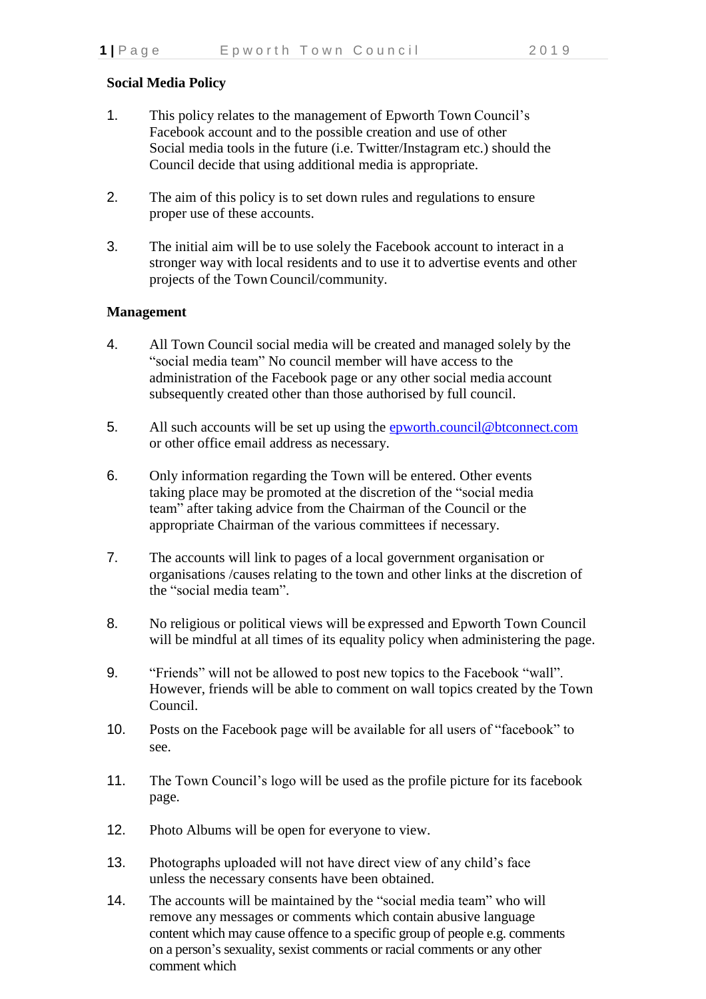## **Social Media Policy**

- 1. This policy relates to the management of Epworth Town Council's Facebook account and to the possible creation and use of other Social media tools in the future (i.e. Twitter/Instagram etc.) should the Council decide that using additional media is appropriate.
- 2. The aim of this policy is to set down rules and regulations to ensure proper use of these accounts.
- 3. The initial aim will be to use solely the Facebook account to interact in a stronger way with local residents and to use it to advertise events and other projects of the Town Council/community.

## **Management**

- 4. All Town Council social media will be created and managed solely by the "social media team" No council member will have access to the administration of the Facebook page or any other social media account subsequently created other than those authorised by full council.
- 5. All such accounts will be set up using the [epworth.council@btconnect.com](mailto:epworth.council@btconnect.com) or other office email address as necessary.
- 6. Only information regarding the Town will be entered. Other events taking place may be promoted at the discretion of the "social media team" after taking advice from the Chairman of the Council or the appropriate Chairman of the various committees if necessary.
- 7. The accounts will link to pages of a local government organisation or organisations /causes relating to the town and other links at the discretion of the "social media team".
- 8. No religious or political views will be expressed and Epworth Town Council will be mindful at all times of its equality policy when administering the page.
- 9. "Friends" will not be allowed to post new topics to the Facebook "wall". However, friends will be able to comment on wall topics created by the Town Council.
- 10. Posts on the Facebook page will be available for all users of "facebook" to see.
- 11. The Town Council's logo will be used as the profile picture for its facebook page.
- 12. Photo Albums will be open for everyone to view.
- 13. Photographs uploaded will not have direct view of any child's face unless the necessary consents have been obtained.
- 14. The accounts will be maintained by the "social media team" who will remove any messages or comments which contain abusive language content which may cause offence to a specific group of people e.g. comments on a person's sexuality, sexist comments or racial comments or any other comment which